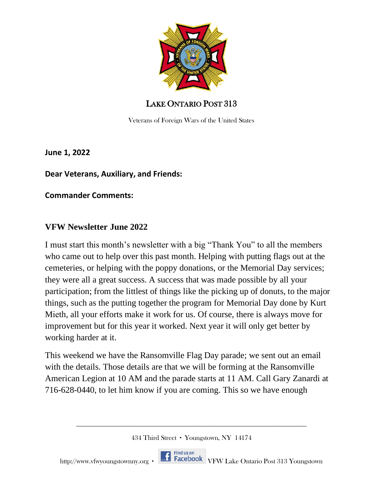

Veterans of Foreign Wars of the United States

**June 1, 2022** 

**Dear Veterans, Auxiliary, and Friends:** 

**Commander Comments:** 

#### **VFW Newsletter June 2022**

I must start this month's newsletter with a big "Thank You" to all the members who came out to help over this past month. Helping with putting flags out at the cemeteries, or helping with the poppy donations, or the Memorial Day services; they were all a great success. A success that was made possible by all your participation; from the littlest of things like the picking up of donuts, to the major things, such as the putting together the program for Memorial Day done by Kurt Mieth, all your efforts make it work for us. Of course, there is always move for improvement but for this year it worked. Next year it will only get better by working harder at it.

This weekend we have the Ransomville Flag Day parade; we sent out an email with the details. Those details are that we will be forming at the Ransomville American Legion at 10 AM and the parade starts at 11 AM. Call Gary Zanardi at 716-628-0440, to let him know if you are coming. This so we have enough

434 Third Street ∙ Youngstown, NY 14174

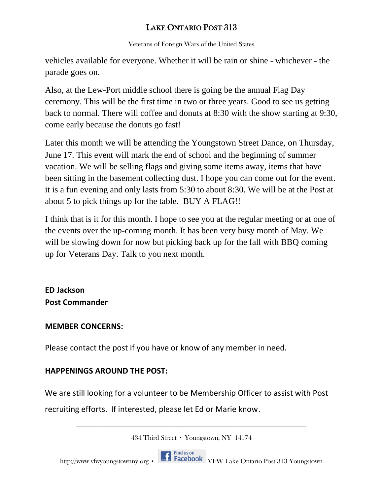Veterans of Foreign Wars of the United States

vehicles available for everyone. Whether it will be rain or shine - whichever - the parade goes on.

Also, at the Lew-Port middle school there is going be the annual Flag Day ceremony. This will be the first time in two or three years. Good to see us getting back to normal. There will coffee and donuts at 8:30 with the show starting at 9:30, come early because the donuts go fast!

Later this month we will be attending the Youngstown Street Dance, on Thursday, June 17. This event will mark the end of school and the beginning of summer vacation. We will be selling flags and giving some items away, items that have been sitting in the basement collecting dust. I hope you can come out for the event. it is a fun evening and only lasts from 5:30 to about 8:30. We will be at the Post at about 5 to pick things up for the table. BUY A FLAG!!

I think that is it for this month. I hope to see you at the regular meeting or at one of the events over the up-coming month. It has been very busy month of May. We will be slowing down for now but picking back up for the fall with BBQ coming up for Veterans Day. Talk to you next month.

# **ED Jackson Post Commander**

#### **MEMBER CONCERNS:**

Please contact the post if you have or know of any member in need.

## **HAPPENINGS AROUND THE POST:**

We are still looking for a volunteer to be Membership Officer to assist with Post recruiting efforts. If interested, please let Ed or Marie know.

434 Third Street ∙ Youngstown, NY 14174

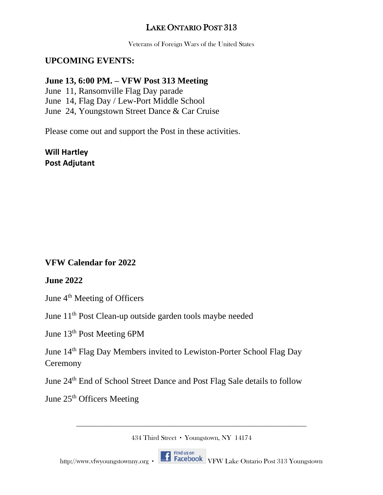Veterans of Foreign Wars of the United States

#### **UPCOMING EVENTS:**

#### **June 13, 6:00 PM. – VFW Post 313 Meeting**

June 11, Ransomville Flag Day parade

June 14, Flag Day / Lew-Port Middle School

June 24, Youngstown Street Dance & Car Cruise

Please come out and support the Post in these activities.

**Will Hartley Post Adjutant**

**VFW Calendar for 2022**

#### **June 2022**

June 4<sup>th</sup> Meeting of Officers

June 11th Post Clean-up outside garden tools maybe needed

June 13th Post Meeting 6PM

June 14th Flag Day Members invited to Lewiston-Porter School Flag Day **Ceremony** 

June 24th End of School Street Dance and Post Flag Sale details to follow

June 25<sup>th</sup> Officers Meeting

434 Third Street ∙ Youngstown, NY 14174